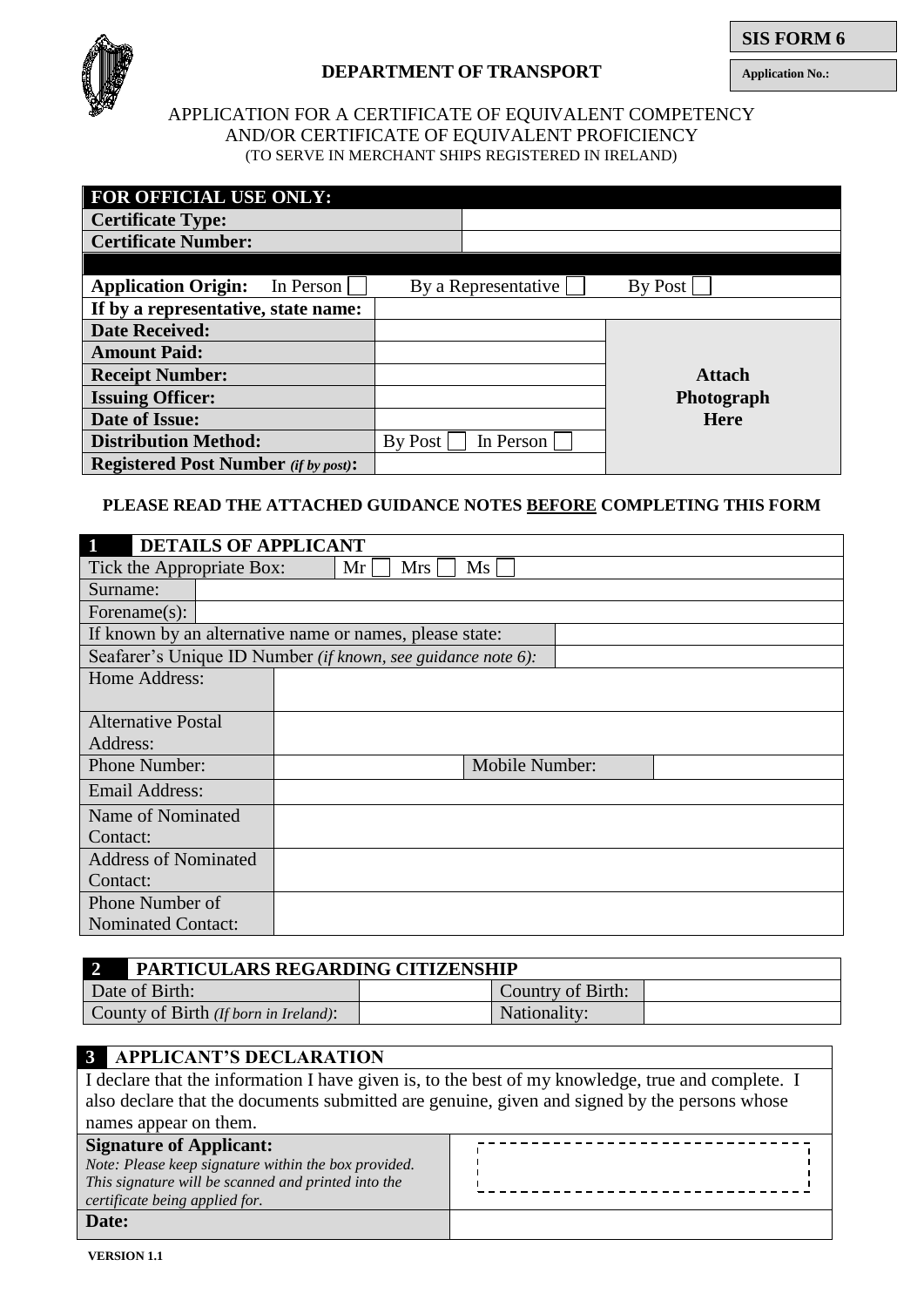

## **DEPARTMENT OF TRANSPORT**

**SIS FORM 6**

**Application No.:**

## APPLICATION FOR A CERTIFICATE OF EQUIVALENT COMPETENCY AND/OR CERTIFICATE OF EQUIVALENT PROFICIENCY (TO SERVE IN MERCHANT SHIPS REGISTERED IN IRELAND)

| <b>FOR OFFICIAL USE ONLY:</b>               |                      |               |
|---------------------------------------------|----------------------|---------------|
| <b>Certificate Type:</b>                    |                      |               |
| <b>Certificate Number:</b>                  |                      |               |
|                                             |                      |               |
| <b>Application Origin:</b><br>In Person     | By a Representative  | By Post       |
| If by a representative, state name:         |                      |               |
| <b>Date Received:</b>                       |                      |               |
| <b>Amount Paid:</b>                         |                      |               |
| <b>Receipt Number:</b>                      |                      | <b>Attach</b> |
| <b>Issuing Officer:</b>                     |                      | Photograph    |
| Date of Issue:                              |                      | <b>Here</b>   |
| <b>Distribution Method:</b>                 | By Post<br>In Person |               |
| <b>Registered Post Number</b> (if by post): |                      |               |

## **PLEASE READ THE ATTACHED GUIDANCE NOTES BEFORE COMPLETING THIS FORM**

| $\mathbf{1}$<br><b>DETAILS OF APPLICANT</b> |                                                              |
|---------------------------------------------|--------------------------------------------------------------|
| Tick the Appropriate Box:                   | Ms<br>Mrs<br>Mr                                              |
| Surname:                                    |                                                              |
| Forename $(s)$ :                            |                                                              |
|                                             | If known by an alternative name or names, please state:      |
|                                             | Seafarer's Unique ID Number (if known, see guidance note 6): |
| Home Address:                               |                                                              |
|                                             |                                                              |
| <b>Alternative Postal</b>                   |                                                              |
| Address:                                    |                                                              |
| Phone Number:                               | Mobile Number:                                               |
| Email Address:                              |                                                              |
| Name of Nominated                           |                                                              |
| Contact:                                    |                                                              |
| <b>Address of Nominated</b>                 |                                                              |
| Contact:                                    |                                                              |
| Phone Number of                             |                                                              |
| <b>Nominated Contact:</b>                   |                                                              |

| PARTICULARS REGARDING CITIZENSHIP     |                   |  |  |
|---------------------------------------|-------------------|--|--|
| Date of Birth:                        | Country of Birth: |  |  |
| County of Birth (If born in Ireland): | Nationality:      |  |  |

# **3 APPLICANT'S DECLARATION**

| I declare that the information I have given is, to the best of my knowledge, true and complete. I                                                                               |  |  |
|---------------------------------------------------------------------------------------------------------------------------------------------------------------------------------|--|--|
| also declare that the documents submitted are genuine, given and signed by the persons whose                                                                                    |  |  |
| names appear on them.                                                                                                                                                           |  |  |
| <b>Signature of Applicant:</b><br>Note: Please keep signature within the box provided.<br>This signature will be scanned and printed into the<br>certificate being applied for. |  |  |
| Date:                                                                                                                                                                           |  |  |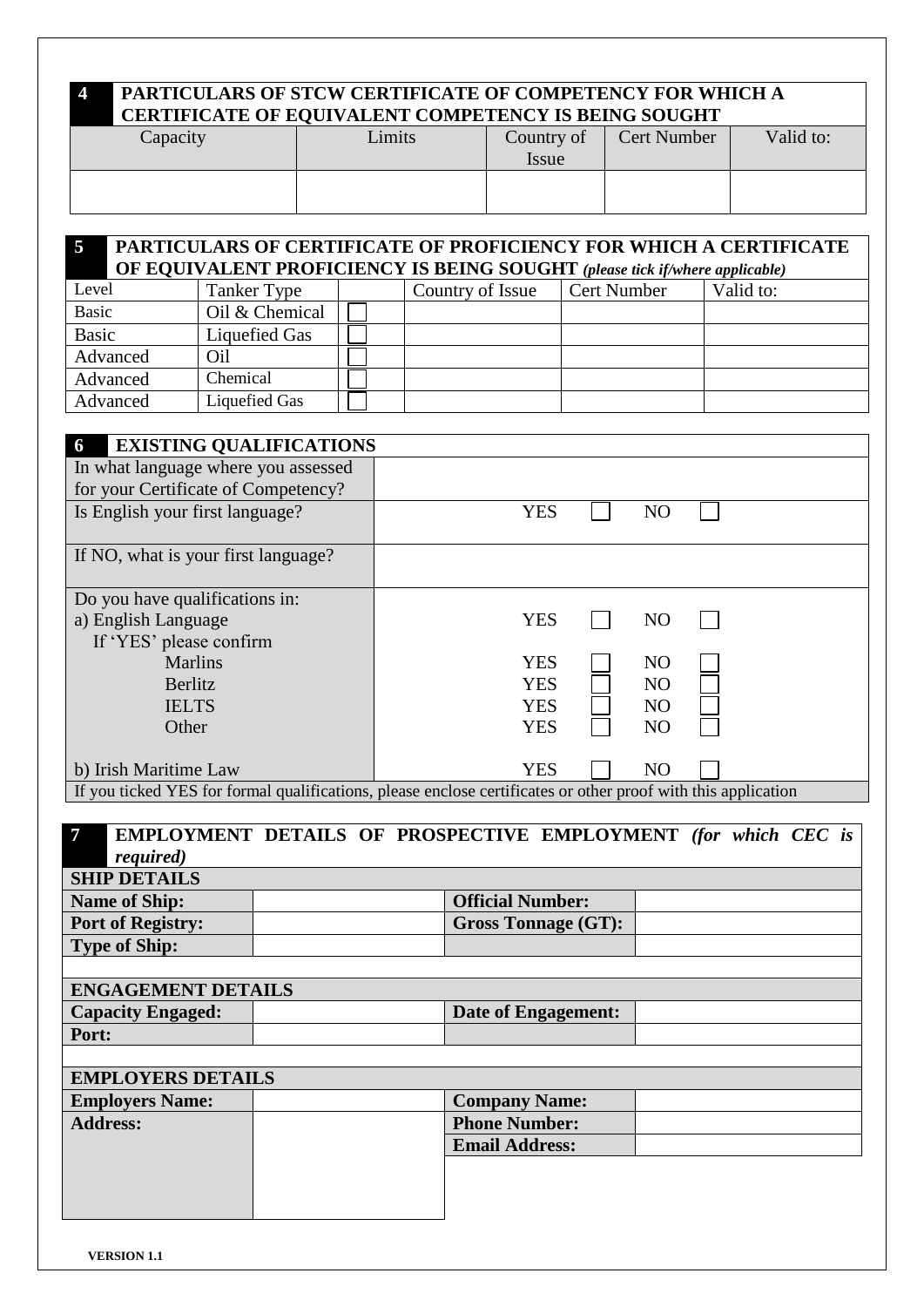## **4 PARTICULARS OF STCW CERTIFICATE OF COMPETENCY FOR WHICH A CERTIFICATE OF EQUIVALENT COMPETENCY IS BEING SOUGHT**

| Capacity | Limits | Country of | <b>Cert Number</b> | Valid to: |
|----------|--------|------------|--------------------|-----------|
|          |        |            |                    |           |
|          |        | Issue      |                    |           |
|          |        |            |                    |           |
|          |        |            |                    |           |
|          |        |            |                    |           |

| $\overline{5}$ | <b>PARTICULARS OF CERTIFICATE OF PROFICIENCY FOR WHICH A CERTIFICATE</b> |  |                                                                                    |                    |           |
|----------------|--------------------------------------------------------------------------|--|------------------------------------------------------------------------------------|--------------------|-----------|
|                |                                                                          |  | <b>OF EQUIVALENT PROFICIENCY IS BEING SOUGHT</b> (please tick if/where applicable) |                    |           |
| Level          | Tanker Type                                                              |  | Country of Issue                                                                   | <b>Cert Number</b> | Valid to: |
| <b>Basic</b>   | Oil & Chemical                                                           |  |                                                                                    |                    |           |
| <b>Basic</b>   | Liquefied Gas                                                            |  |                                                                                    |                    |           |
| Advanced       | Oil                                                                      |  |                                                                                    |                    |           |
| Advanced       | Chemical                                                                 |  |                                                                                    |                    |           |
| Advanced       | Liquefied Gas                                                            |  |                                                                                    |                    |           |

| <b>EXISTING QUALIFICATIONS</b><br>6 |                                                                                                               |  |  |
|-------------------------------------|---------------------------------------------------------------------------------------------------------------|--|--|
| In what language where you assessed |                                                                                                               |  |  |
| for your Certificate of Competency? |                                                                                                               |  |  |
| Is English your first language?     | <b>YES</b><br>N <sub>O</sub>                                                                                  |  |  |
|                                     |                                                                                                               |  |  |
| If NO, what is your first language? |                                                                                                               |  |  |
|                                     |                                                                                                               |  |  |
| Do you have qualifications in:      |                                                                                                               |  |  |
| a) English Language                 | <b>YES</b><br>N <sub>O</sub>                                                                                  |  |  |
| If 'YES' please confirm             |                                                                                                               |  |  |
| <b>Marlins</b>                      | <b>YES</b><br>N <sub>O</sub>                                                                                  |  |  |
| Berlitz                             | YES<br><b>NO</b>                                                                                              |  |  |
| <b>IELTS</b>                        | <b>YES</b><br>N <sub>O</sub>                                                                                  |  |  |
| Other                               | <b>YES</b><br>N <sub>O</sub>                                                                                  |  |  |
|                                     |                                                                                                               |  |  |
| b) Irish Maritime Law               | <b>YES</b><br>N <sub>O</sub>                                                                                  |  |  |
|                                     | If you ticked YES for formal qualifications, please enclose certificates or other proof with this application |  |  |

| $\overline{7}$  |                           |  |  | EMPLOYMENT DETAILS OF PROSPECTIVE EMPLOYMENT (for which CEC is |  |  |  |
|-----------------|---------------------------|--|--|----------------------------------------------------------------|--|--|--|
|                 | <i>required</i> )         |  |  |                                                                |  |  |  |
|                 | <b>SHIP DETAILS</b>       |  |  |                                                                |  |  |  |
|                 | <b>Name of Ship:</b>      |  |  | <b>Official Number:</b>                                        |  |  |  |
|                 | <b>Port of Registry:</b>  |  |  | <b>Gross Tonnage (GT):</b>                                     |  |  |  |
|                 | <b>Type of Ship:</b>      |  |  |                                                                |  |  |  |
|                 |                           |  |  |                                                                |  |  |  |
|                 | <b>ENGAGEMENT DETAILS</b> |  |  |                                                                |  |  |  |
|                 | <b>Capacity Engaged:</b>  |  |  | <b>Date of Engagement:</b>                                     |  |  |  |
| Port:           |                           |  |  |                                                                |  |  |  |
|                 |                           |  |  |                                                                |  |  |  |
|                 | <b>EMPLOYERS DETAILS</b>  |  |  |                                                                |  |  |  |
|                 | <b>Employers Name:</b>    |  |  | <b>Company Name:</b>                                           |  |  |  |
| <b>Address:</b> |                           |  |  | <b>Phone Number:</b>                                           |  |  |  |
|                 |                           |  |  | <b>Email Address:</b>                                          |  |  |  |
|                 |                           |  |  |                                                                |  |  |  |
|                 |                           |  |  |                                                                |  |  |  |
|                 |                           |  |  |                                                                |  |  |  |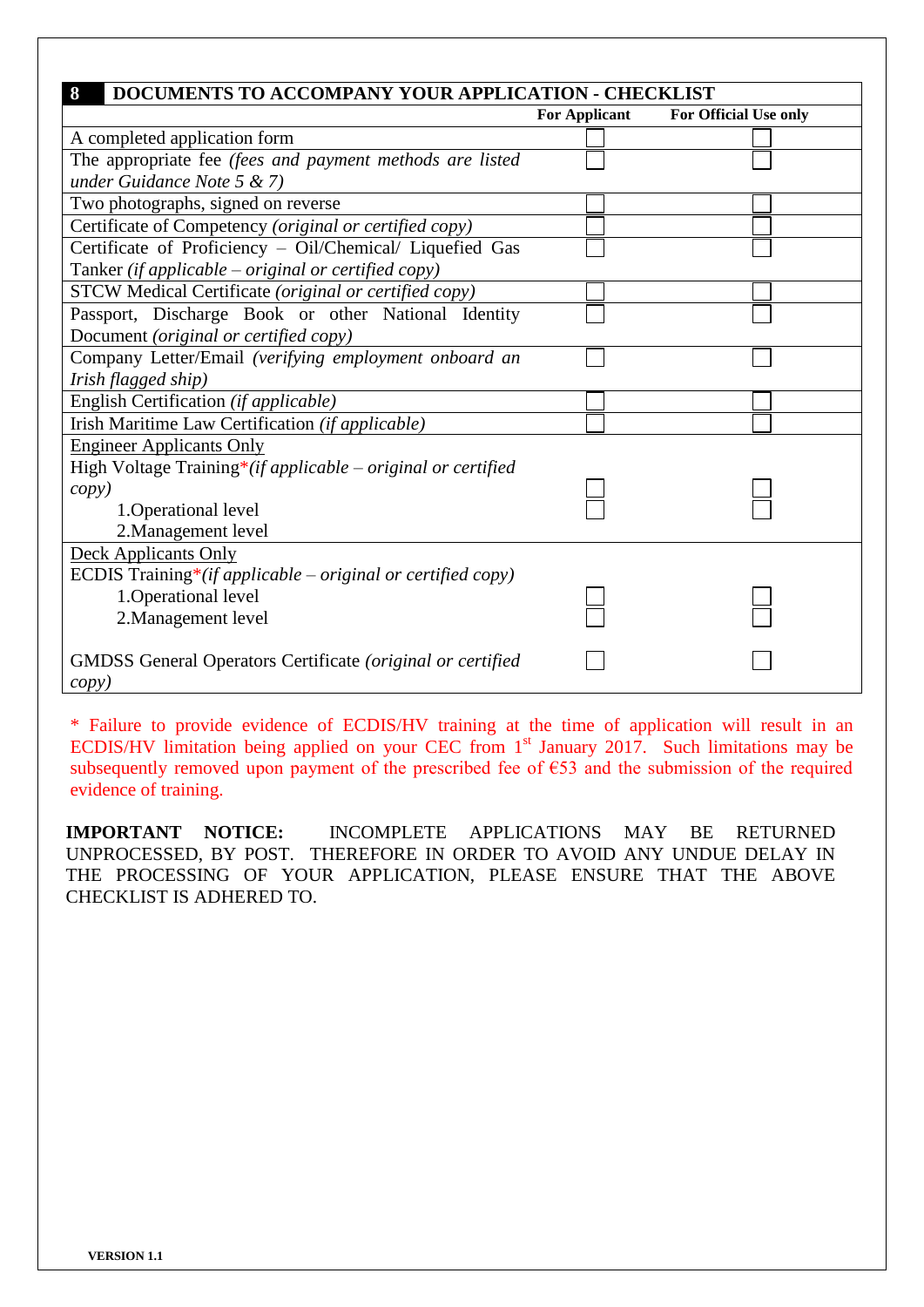| 8<br>DOCUMENTS TO ACCOMPANY YOUR APPLICATION - CHECKLIST          |                      |                       |
|-------------------------------------------------------------------|----------------------|-----------------------|
|                                                                   | <b>For Applicant</b> | For Official Use only |
| A completed application form                                      |                      |                       |
| The appropriate fee (fees and payment methods are listed          |                      |                       |
| under Guidance Note $5 < 7$ )                                     |                      |                       |
| Two photographs, signed on reverse                                |                      |                       |
| Certificate of Competency (original or certified copy)            |                      |                       |
| Certificate of Proficiency - Oil/Chemical/ Liquefied Gas          |                      |                       |
| Tanker (if applicable $-$ original or certified copy)             |                      |                       |
| STCW Medical Certificate (original or certified copy)             |                      |                       |
| Passport, Discharge Book or other National Identity               |                      |                       |
| Document (original or certified copy)                             |                      |                       |
| Company Letter/Email (verifying employment onboard an             |                      |                       |
| Irish flagged ship)                                               |                      |                       |
| English Certification (if applicable)                             |                      |                       |
| Irish Maritime Law Certification (if applicable)                  |                      |                       |
| <b>Engineer Applicants Only</b>                                   |                      |                       |
| High Voltage Training*(if applicable – original or certified      |                      |                       |
| copy)                                                             |                      |                       |
| 1. Operational level                                              |                      |                       |
| 2. Management level                                               |                      |                       |
| <b>Deck Applicants Only</b>                                       |                      |                       |
| ECDIS Training*(if applicable – original or certified copy)       |                      |                       |
| 1. Operational level                                              |                      |                       |
| 2. Management level                                               |                      |                       |
|                                                                   |                      |                       |
| <b>GMDSS</b> General Operators Certificate (original or certified |                      |                       |
| <i>copy</i> )                                                     |                      |                       |

\* Failure to provide evidence of ECDIS/HV training at the time of application will result in an ECDIS/HV limitation being applied on your CEC from 1<sup>st</sup> January 2017. Such limitations may be subsequently removed upon payment of the prescribed fee of  $\epsilon$ 53 and the submission of the required evidence of training.

**IMPORTANT NOTICE:** INCOMPLETE APPLICATIONS MAY BE RETURNED UNPROCESSED, BY POST. THEREFORE IN ORDER TO AVOID ANY UNDUE DELAY IN THE PROCESSING OF YOUR APPLICATION, PLEASE ENSURE THAT THE ABOVE CHECKLIST IS ADHERED TO.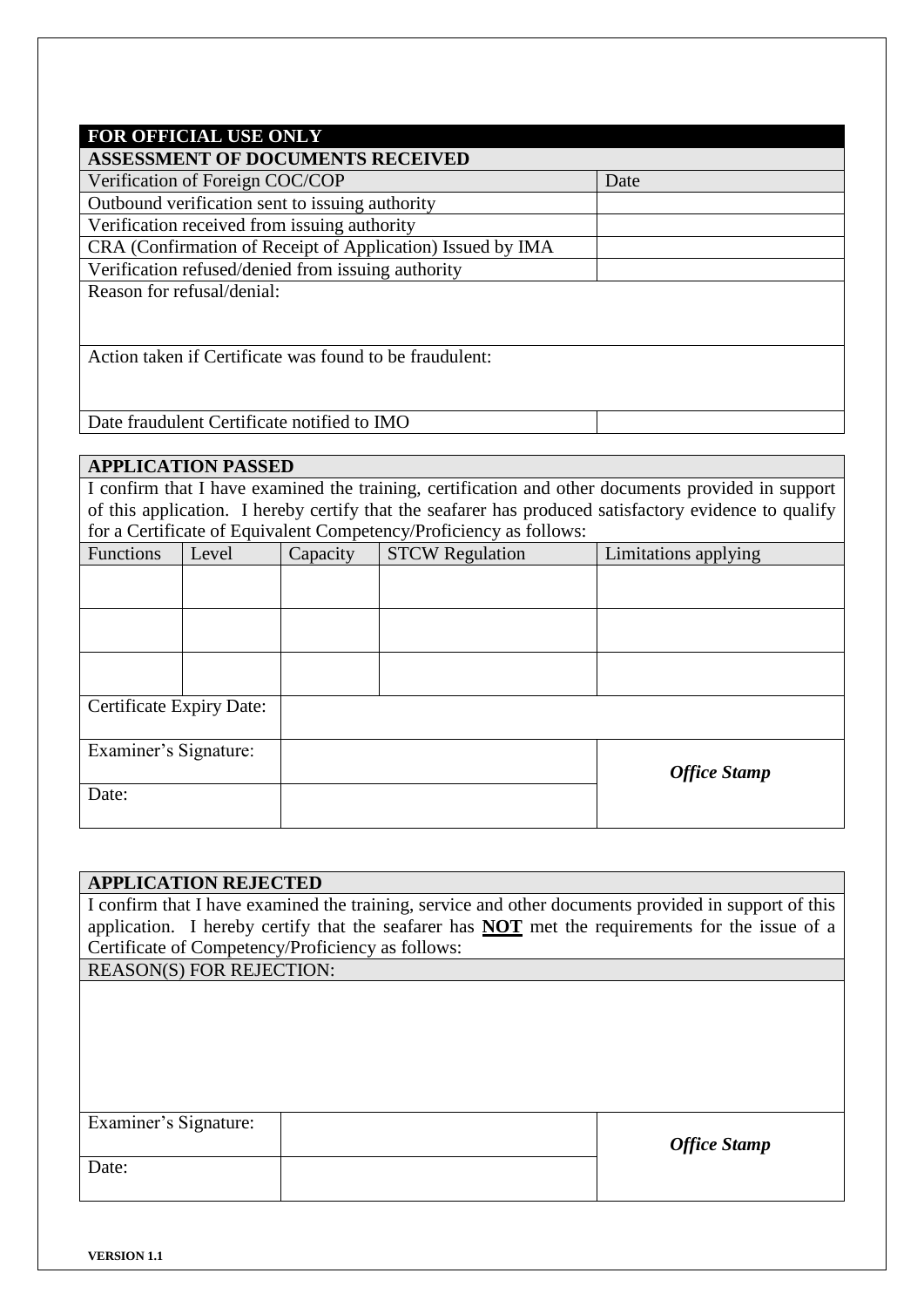| <b>FOR OFFICIAL USE ONLY</b>                               |      |
|------------------------------------------------------------|------|
| <b>ASSESSMENT OF DOCUMENTS RECEIVED</b>                    |      |
| Verification of Foreign COC/COP                            | Date |
| Outbound verification sent to issuing authority            |      |
| Verification received from issuing authority               |      |
| CRA (Confirmation of Receipt of Application) Issued by IMA |      |
| Verification refused/denied from issuing authority         |      |
| Reason for refusal/denial:                                 |      |
|                                                            |      |
|                                                            |      |
| Action taken if Certificate was found to be fraudulent:    |      |
|                                                            |      |
|                                                            |      |
| Date fraudulent Certificate notified to IMO                |      |

## **APPLICATION PASSED**

I confirm that I have examined the training, certification and other documents provided in support of this application. I hereby certify that the seafarer has produced satisfactory evidence to qualify for a Certificate of Equivalent Competency/Proficiency as follows:

| Functions                | Level | Capacity | Tor a cordinuate of Equivalent competency/110 hereity as follows.<br><b>STCW Regulation</b> | Limitations applying |
|--------------------------|-------|----------|---------------------------------------------------------------------------------------------|----------------------|
|                          |       |          |                                                                                             |                      |
|                          |       |          |                                                                                             |                      |
|                          |       |          |                                                                                             |                      |
|                          |       |          |                                                                                             |                      |
|                          |       |          |                                                                                             |                      |
|                          |       |          |                                                                                             |                      |
| Certificate Expiry Date: |       |          |                                                                                             |                      |
| Examiner's Signature:    |       |          |                                                                                             |                      |
|                          |       |          |                                                                                             | <b>Office Stamp</b>  |
| Date:                    |       |          |                                                                                             |                      |
|                          |       |          |                                                                                             |                      |

## **APPLICATION REJECTED**

I confirm that I have examined the training, service and other documents provided in support of this application. I hereby certify that the seafarer has **NOT** met the requirements for the issue of a Certificate of Competency/Proficiency as follows: REASON(S) FOR REJECTION:

| Examiner's Signature: | <b>Office Stamp</b> |
|-----------------------|---------------------|
| Date:                 |                     |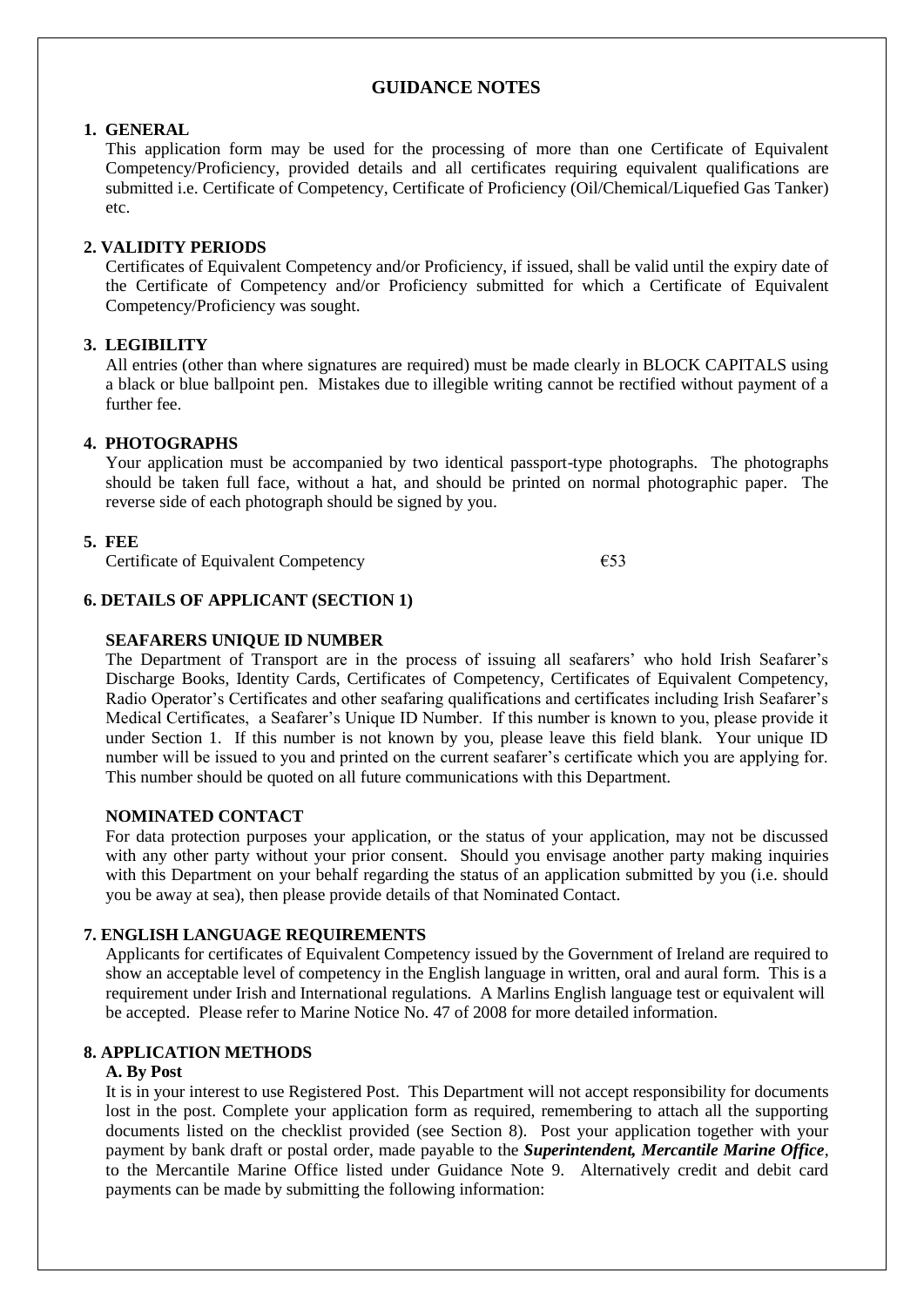## **GUIDANCE NOTES**

#### **1. GENERAL**

This application form may be used for the processing of more than one Certificate of Equivalent Competency/Proficiency, provided details and all certificates requiring equivalent qualifications are submitted i.e. Certificate of Competency, Certificate of Proficiency (Oil/Chemical/Liquefied Gas Tanker) etc.

## **2. VALIDITY PERIODS**

Certificates of Equivalent Competency and/or Proficiency, if issued, shall be valid until the expiry date of the Certificate of Competency and/or Proficiency submitted for which a Certificate of Equivalent Competency/Proficiency was sought.

## **3. LEGIBILITY**

All entries (other than where signatures are required) must be made clearly in BLOCK CAPITALS using a black or blue ballpoint pen. Mistakes due to illegible writing cannot be rectified without payment of a further fee.

## **4. PHOTOGRAPHS**

Your application must be accompanied by two identical passport-type photographs. The photographs should be taken full face, without a hat, and should be printed on normal photographic paper. The reverse side of each photograph should be signed by you.

## **5. FEE**

Certificate of Equivalent Competency €53

#### **6. DETAILS OF APPLICANT (SECTION 1)**

#### **SEAFARERS UNIQUE ID NUMBER**

The Department of Transport are in the process of issuing all seafarers' who hold Irish Seafarer's Discharge Books, Identity Cards, Certificates of Competency, Certificates of Equivalent Competency, Radio Operator's Certificates and other seafaring qualifications and certificates including Irish Seafarer's Medical Certificates, a Seafarer's Unique ID Number. If this number is known to you, please provide it under Section 1. If this number is not known by you, please leave this field blank. Your unique ID number will be issued to you and printed on the current seafarer's certificate which you are applying for. This number should be quoted on all future communications with this Department.

#### **NOMINATED CONTACT**

For data protection purposes your application, or the status of your application, may not be discussed with any other party without your prior consent. Should you envisage another party making inquiries with this Department on your behalf regarding the status of an application submitted by you (i.e. should you be away at sea), then please provide details of that Nominated Contact.

## **7. ENGLISH LANGUAGE REQUIREMENTS**

Applicants for certificates of Equivalent Competency issued by the Government of Ireland are required to show an acceptable level of competency in the English language in written, oral and aural form. This is a requirement under Irish and International regulations. A Marlins English language test or equivalent will be accepted. Please refer to Marine Notice No. 47 of 2008 for more detailed information.

## **8. APPLICATION METHODS**

#### **A. By Post**

It is in your interest to use Registered Post. This Department will not accept responsibility for documents lost in the post. Complete your application form as required, remembering to attach all the supporting documents listed on the checklist provided (see Section 8). Post your application together with your payment by bank draft or postal order, made payable to the *Superintendent, Mercantile Marine Office*, to the Mercantile Marine Office listed under Guidance Note 9. Alternatively credit and debit card payments can be made by submitting the following information: